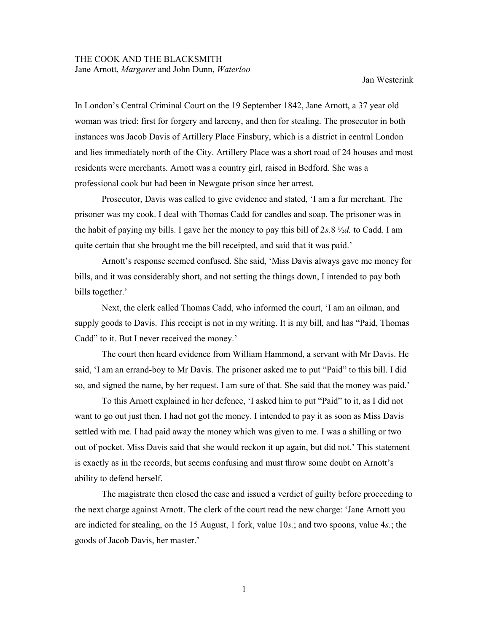Jan Westerink

In London's Central Criminal Court on the 19 September 1842, Jane Arnott, a 37 year old woman was tried: first for forgery and larceny, and then for stealing. The prosecutor in both instances was Jacob Davis of Artillery Place Finsbury, which is a district in central London and lies immediately north of the City. Artillery Place was a short road of 24 houses and most residents were merchants. Arnott was a country girl, raised in Bedford. She was a professional cook but had been in Newgate prison since her arrest.

Prosecutor, Davis was called to give evidence and stated, 'I am a fur merchant. The prisoner was my cook. I deal with Thomas Cadd for candles and soap. The prisoner was in the habit of paying my bills. I gave her the money to pay this bill of 2s.8  $\frac{1}{2}d$ , to Cadd. I am quite certain that she brought me the bill receipted, and said that it was paid.'

 Arnott's response seemed confused. She said, 'Miss Davis always gave me money for bills, and it was considerably short, and not setting the things down, I intended to pay both bills together.'

Next, the clerk called Thomas Cadd, who informed the court, 'I am an oilman, and supply goods to Davis. This receipt is not in my writing. It is my bill, and has "Paid, Thomas Cadd" to it. But I never received the money.'

The court then heard evidence from William Hammond, a servant with Mr Davis. He said, 'I am an errand-boy to Mr Davis. The prisoner asked me to put "Paid" to this bill. I did so, and signed the name, by her request. I am sure of that. She said that the money was paid.'

To this Arnott explained in her defence, 'I asked him to put "Paid" to it, as I did not want to go out just then. I had not got the money. I intended to pay it as soon as Miss Davis settled with me. I had paid away the money which was given to me. I was a shilling or two out of pocket. Miss Davis said that she would reckon it up again, but did not.' This statement is exactly as in the records, but seems confusing and must throw some doubt on Arnott's ability to defend herself.

The magistrate then closed the case and issued a verdict of guilty before proceeding to the next charge against Arnott. The clerk of the court read the new charge: 'Jane Arnott you are indicted for stealing, on the 15 August, 1 fork, value 10s.; and two spoons, value 4s.; the goods of Jacob Davis, her master.'

1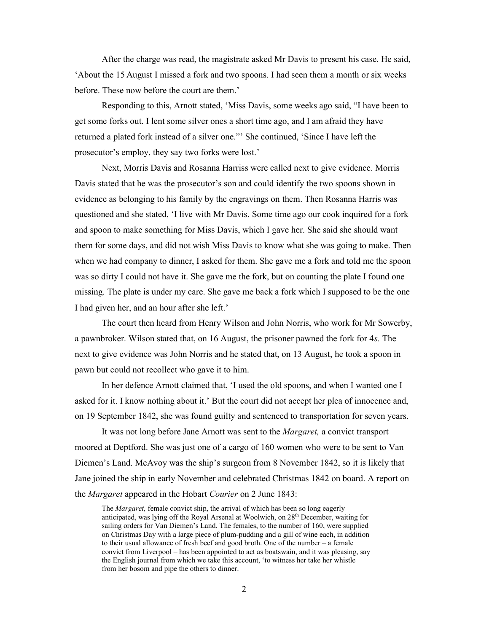After the charge was read, the magistrate asked Mr Davis to present his case. He said, 'About the 15 August I missed a fork and two spoons. I had seen them a month or six weeks before. These now before the court are them.'

Responding to this, Arnott stated, 'Miss Davis, some weeks ago said, "I have been to get some forks out. I lent some silver ones a short time ago, and I am afraid they have returned a plated fork instead of a silver one."' She continued, 'Since I have left the prosecutor's employ, they say two forks were lost.'

 Next, Morris Davis and Rosanna Harriss were called next to give evidence. Morris Davis stated that he was the prosecutor's son and could identify the two spoons shown in evidence as belonging to his family by the engravings on them. Then Rosanna Harris was questioned and she stated, 'I live with Mr Davis. Some time ago our cook inquired for a fork and spoon to make something for Miss Davis, which I gave her. She said she should want them for some days, and did not wish Miss Davis to know what she was going to make. Then when we had company to dinner, I asked for them. She gave me a fork and told me the spoon was so dirty I could not have it. She gave me the fork, but on counting the plate I found one missing. The plate is under my care. She gave me back a fork which I supposed to be the one I had given her, and an hour after she left.'

 The court then heard from Henry Wilson and John Norris, who work for Mr Sowerby, a pawnbroker. Wilson stated that, on 16 August, the prisoner pawned the fork for 4s. The next to give evidence was John Norris and he stated that, on 13 August, he took a spoon in pawn but could not recollect who gave it to him.

 In her defence Arnott claimed that, 'I used the old spoons, and when I wanted one I asked for it. I know nothing about it.' But the court did not accept her plea of innocence and, on 19 September 1842, she was found guilty and sentenced to transportation for seven years.

It was not long before Jane Arnott was sent to the Margaret, a convict transport moored at Deptford. She was just one of a cargo of 160 women who were to be sent to Van Diemen's Land. McAvoy was the ship's surgeon from 8 November 1842, so it is likely that Jane joined the ship in early November and celebrated Christmas 1842 on board. A report on the *Margaret* appeared in the Hobart Courier on 2 June 1843:

The Margaret, female convict ship, the arrival of which has been so long eagerly anticipated, was lying off the Royal Arsenal at Woolwich, on 28<sup>th</sup> December, waiting for sailing orders for Van Diemen's Land. The females, to the number of 160, were supplied on Christmas Day with a large piece of plum-pudding and a gill of wine each, in addition to their usual allowance of fresh beef and good broth. One of the number – a female convict from Liverpool – has been appointed to act as boatswain, and it was pleasing, say the English journal from which we take this account, 'to witness her take her whistle from her bosom and pipe the others to dinner.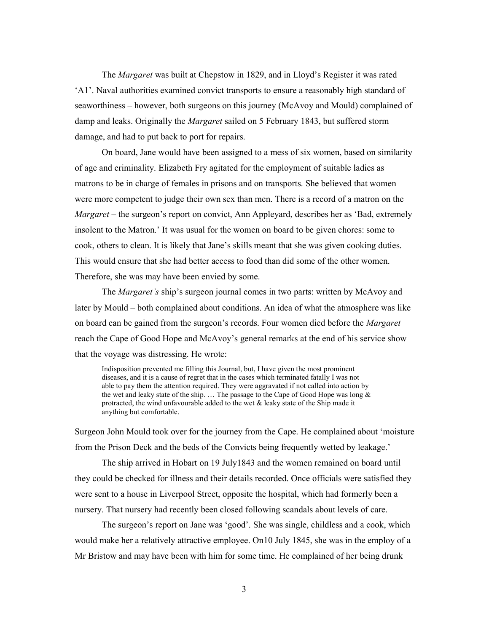The Margaret was built at Chepstow in 1829, and in Lloyd's Register it was rated 'A1'. Naval authorities examined convict transports to ensure a reasonably high standard of seaworthiness – however, both surgeons on this journey (McAvoy and Mould) complained of damp and leaks. Originally the *Margaret* sailed on 5 February 1843, but suffered storm damage, and had to put back to port for repairs.

On board, Jane would have been assigned to a mess of six women, based on similarity of age and criminality. Elizabeth Fry agitated for the employment of suitable ladies as matrons to be in charge of females in prisons and on transports. She believed that women were more competent to judge their own sex than men. There is a record of a matron on the Margaret – the surgeon's report on convict, Ann Appleyard, describes her as 'Bad, extremely insolent to the Matron.' It was usual for the women on board to be given chores: some to cook, others to clean. It is likely that Jane's skills meant that she was given cooking duties. This would ensure that she had better access to food than did some of the other women. Therefore, she was may have been envied by some.

The *Margaret's* ship's surgeon journal comes in two parts: written by McAvoy and later by Mould – both complained about conditions. An idea of what the atmosphere was like on board can be gained from the surgeon's records. Four women died before the *Margaret* reach the Cape of Good Hope and McAvoy's general remarks at the end of his service show that the voyage was distressing. He wrote:

Indisposition prevented me filling this Journal, but, I have given the most prominent diseases, and it is a cause of regret that in the cases which terminated fatally I was not able to pay them the attention required. They were aggravated if not called into action by the wet and leaky state of the ship. … The passage to the Cape of Good Hope was long & protracted, the wind unfavourable added to the wet & leaky state of the Ship made it anything but comfortable.

Surgeon John Mould took over for the journey from the Cape. He complained about 'moisture from the Prison Deck and the beds of the Convicts being frequently wetted by leakage.'

The ship arrived in Hobart on 19 July1843 and the women remained on board until they could be checked for illness and their details recorded. Once officials were satisfied they were sent to a house in Liverpool Street, opposite the hospital, which had formerly been a nursery. That nursery had recently been closed following scandals about levels of care.

The surgeon's report on Jane was 'good'. She was single, childless and a cook, which would make her a relatively attractive employee. On10 July 1845, she was in the employ of a Mr Bristow and may have been with him for some time. He complained of her being drunk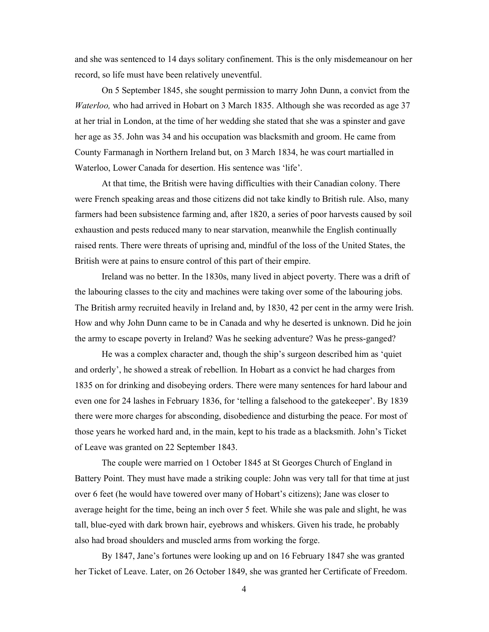and she was sentenced to 14 days solitary confinement. This is the only misdemeanour on her record, so life must have been relatively uneventful.

 On 5 September 1845, she sought permission to marry John Dunn, a convict from the Waterloo, who had arrived in Hobart on 3 March 1835. Although she was recorded as age 37 at her trial in London, at the time of her wedding she stated that she was a spinster and gave her age as 35. John was 34 and his occupation was blacksmith and groom. He came from County Farmanagh in Northern Ireland but, on 3 March 1834, he was court martialled in Waterloo, Lower Canada for desertion. His sentence was 'life'.

At that time, the British were having difficulties with their Canadian colony. There were French speaking areas and those citizens did not take kindly to British rule. Also, many farmers had been subsistence farming and, after 1820, a series of poor harvests caused by soil exhaustion and pests reduced many to near starvation, meanwhile the English continually raised rents. There were threats of uprising and, mindful of the loss of the United States, the British were at pains to ensure control of this part of their empire.

 Ireland was no better. In the 1830s, many lived in abject poverty. There was a drift of the labouring classes to the city and machines were taking over some of the labouring jobs. The British army recruited heavily in Ireland and, by 1830, 42 per cent in the army were Irish. How and why John Dunn came to be in Canada and why he deserted is unknown. Did he join the army to escape poverty in Ireland? Was he seeking adventure? Was he press-ganged?

He was a complex character and, though the ship's surgeon described him as 'quiet and orderly', he showed a streak of rebellion. In Hobart as a convict he had charges from 1835 on for drinking and disobeying orders. There were many sentences for hard labour and even one for 24 lashes in February 1836, for 'telling a falsehood to the gatekeeper'. By 1839 there were more charges for absconding, disobedience and disturbing the peace. For most of those years he worked hard and, in the main, kept to his trade as a blacksmith. John's Ticket of Leave was granted on 22 September 1843.

 The couple were married on 1 October 1845 at St Georges Church of England in Battery Point. They must have made a striking couple: John was very tall for that time at just over 6 feet (he would have towered over many of Hobart's citizens); Jane was closer to average height for the time, being an inch over 5 feet. While she was pale and slight, he was tall, blue-eyed with dark brown hair, eyebrows and whiskers. Given his trade, he probably also had broad shoulders and muscled arms from working the forge.

 By 1847, Jane's fortunes were looking up and on 16 February 1847 she was granted her Ticket of Leave. Later, on 26 October 1849, she was granted her Certificate of Freedom.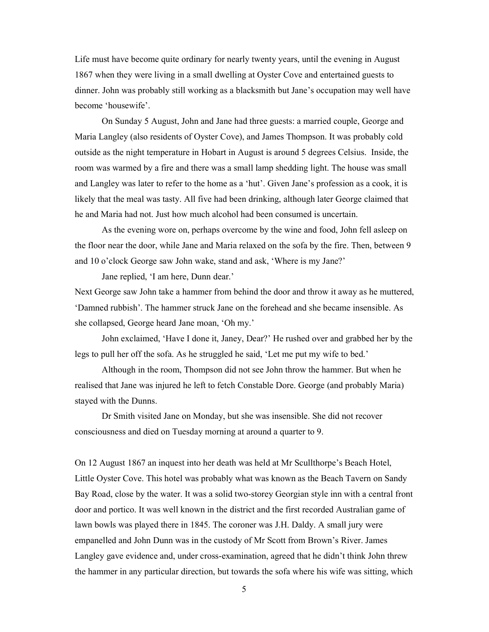Life must have become quite ordinary for nearly twenty years, until the evening in August 1867 when they were living in a small dwelling at Oyster Cove and entertained guests to dinner. John was probably still working as a blacksmith but Jane's occupation may well have become 'housewife'.

On Sunday 5 August, John and Jane had three guests: a married couple, George and Maria Langley (also residents of Oyster Cove), and James Thompson. It was probably cold outside as the night temperature in Hobart in August is around 5 degrees Celsius. Inside, the room was warmed by a fire and there was a small lamp shedding light. The house was small and Langley was later to refer to the home as a 'hut'. Given Jane's profession as a cook, it is likely that the meal was tasty. All five had been drinking, although later George claimed that he and Maria had not. Just how much alcohol had been consumed is uncertain.

 As the evening wore on, perhaps overcome by the wine and food, John fell asleep on the floor near the door, while Jane and Maria relaxed on the sofa by the fire. Then, between 9 and 10 o'clock George saw John wake, stand and ask, 'Where is my Jane?'

Jane replied, 'I am here, Dunn dear.'

Next George saw John take a hammer from behind the door and throw it away as he muttered, 'Damned rubbish'. The hammer struck Jane on the forehead and she became insensible. As she collapsed, George heard Jane moan, 'Oh my.'

John exclaimed, 'Have I done it, Janey, Dear?' He rushed over and grabbed her by the legs to pull her off the sofa. As he struggled he said, 'Let me put my wife to bed.'

Although in the room, Thompson did not see John throw the hammer. But when he realised that Jane was injured he left to fetch Constable Dore. George (and probably Maria) stayed with the Dunns.

Dr Smith visited Jane on Monday, but she was insensible. She did not recover consciousness and died on Tuesday morning at around a quarter to 9.

On 12 August 1867 an inquest into her death was held at Mr Scullthorpe's Beach Hotel, Little Oyster Cove. This hotel was probably what was known as the Beach Tavern on Sandy Bay Road, close by the water. It was a solid two-storey Georgian style inn with a central front door and portico. It was well known in the district and the first recorded Australian game of lawn bowls was played there in 1845. The coroner was J.H. Daldy. A small jury were empanelled and John Dunn was in the custody of Mr Scott from Brown's River. James Langley gave evidence and, under cross-examination, agreed that he didn't think John threw the hammer in any particular direction, but towards the sofa where his wife was sitting, which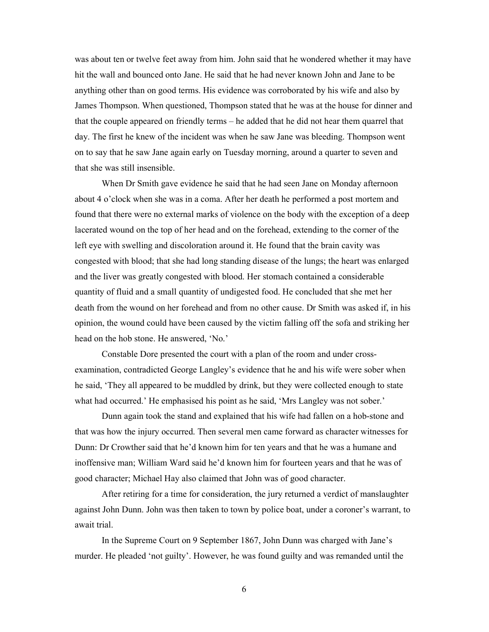was about ten or twelve feet away from him. John said that he wondered whether it may have hit the wall and bounced onto Jane. He said that he had never known John and Jane to be anything other than on good terms. His evidence was corroborated by his wife and also by James Thompson. When questioned, Thompson stated that he was at the house for dinner and that the couple appeared on friendly terms – he added that he did not hear them quarrel that day. The first he knew of the incident was when he saw Jane was bleeding. Thompson went on to say that he saw Jane again early on Tuesday morning, around a quarter to seven and that she was still insensible.

When Dr Smith gave evidence he said that he had seen Jane on Monday afternoon about 4 o'clock when she was in a coma. After her death he performed a post mortem and found that there were no external marks of violence on the body with the exception of a deep lacerated wound on the top of her head and on the forehead, extending to the corner of the left eye with swelling and discoloration around it. He found that the brain cavity was congested with blood; that she had long standing disease of the lungs; the heart was enlarged and the liver was greatly congested with blood. Her stomach contained a considerable quantity of fluid and a small quantity of undigested food. He concluded that she met her death from the wound on her forehead and from no other cause. Dr Smith was asked if, in his opinion, the wound could have been caused by the victim falling off the sofa and striking her head on the hob stone. He answered, 'No.'

Constable Dore presented the court with a plan of the room and under crossexamination, contradicted George Langley's evidence that he and his wife were sober when he said, 'They all appeared to be muddled by drink, but they were collected enough to state what had occurred.' He emphasised his point as he said, 'Mrs Langley was not sober.'

Dunn again took the stand and explained that his wife had fallen on a hob-stone and that was how the injury occurred. Then several men came forward as character witnesses for Dunn: Dr Crowther said that he'd known him for ten years and that he was a humane and inoffensive man; William Ward said he'd known him for fourteen years and that he was of good character; Michael Hay also claimed that John was of good character.

After retiring for a time for consideration, the jury returned a verdict of manslaughter against John Dunn. John was then taken to town by police boat, under a coroner's warrant, to await trial.

In the Supreme Court on 9 September 1867, John Dunn was charged with Jane's murder. He pleaded 'not guilty'. However, he was found guilty and was remanded until the

6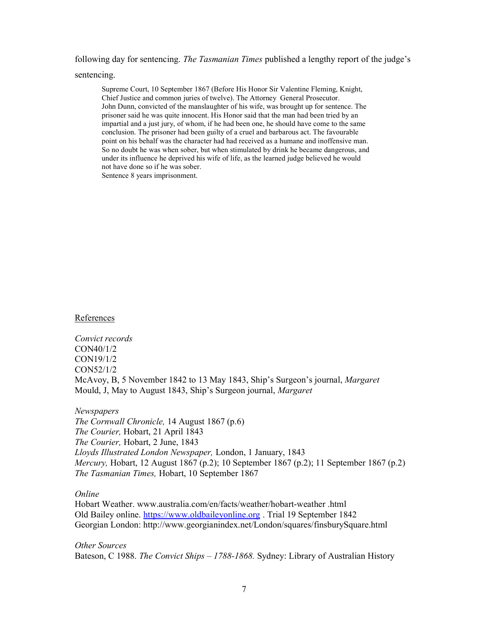following day for sentencing. The Tasmanian Times published a lengthy report of the judge's

sentencing.

Supreme Court, 10 September 1867 (Before His Honor Sir Valentine Fleming, Knight, Chief Justice and common juries of twelve). The Attorney General Prosecutor. John Dunn, convicted of the manslaughter of his wife, was brought up for sentence. The prisoner said he was quite innocent. His Honor said that the man had been tried by an impartial and a just jury, of whom, if he had been one, he should have come to the same conclusion. The prisoner had been guilty of a cruel and barbarous act. The favourable point on his behalf was the character had had received as a humane and inoffensive man. So no doubt he was when sober, but when stimulated by drink he became dangerous, and under its influence he deprived his wife of life, as the learned judge believed he would not have done so if he was sober. Sentence 8 years imprisonment.

References

Convict records CON40/1/2 CON19/1/2 CON52/1/2 McAvoy, B, 5 November 1842 to 13 May 1843, Ship's Surgeon's journal, *Margaret* Mould, J, May to August 1843, Ship's Surgeon journal, Margaret

Newspapers The Cornwall Chronicle, 14 August 1867 (p.6) The Courier, Hobart, 21 April 1843 The Courier, Hobart, 2 June, 1843 Lloyds Illustrated London Newspaper, London, 1 January, 1843 Mercury, Hobart, 12 August 1867 (p.2); 10 September 1867 (p.2); 11 September 1867 (p.2) The Tasmanian Times, Hobart, 10 September 1867

## Online

Hobart Weather. www.australia.com/en/facts/weather/hobart-weather .html Old Bailey online. https://www.oldbaileyonline.org . Trial 19 September 1842 Georgian London: http://www.georgianindex.net/London/squares/finsburySquare.html

Other Sources Bateson, C 1988. The Convict Ships - 1788-1868. Sydney: Library of Australian History